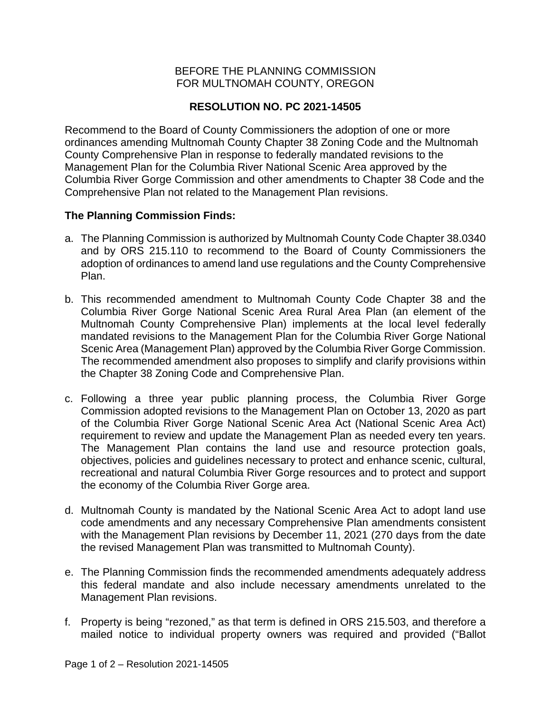## BEFORE THE PLANNING COMMISSION FOR MULTNOMAH COUNTY, OREGON

# **RESOLUTION NO. PC 2021-14505**

Recommend to the Board of County Commissioners the adoption of one or more ordinances amending Multnomah County Chapter 38 Zoning Code and the Multnomah County Comprehensive Plan in response to federally mandated revisions to the Management Plan for the Columbia River National Scenic Area approved by the Columbia River Gorge Commission and other amendments to Chapter 38 Code and the Comprehensive Plan not related to the Management Plan revisions.

## **The Planning Commission Finds:**

- a. The Planning Commission is authorized by Multnomah County Code Chapter 38.0340 and by ORS 215.110 to recommend to the Board of County Commissioners the adoption of ordinances to amend land use regulations and the County Comprehensive Plan.
- b. This recommended amendment to Multnomah County Code Chapter 38 and the Columbia River Gorge National Scenic Area Rural Area Plan (an element of the Multnomah County Comprehensive Plan) implements at the local level federally mandated revisions to the Management Plan for the Columbia River Gorge National Scenic Area (Management Plan) approved by the Columbia River Gorge Commission. The recommended amendment also proposes to simplify and clarify provisions within the Chapter 38 Zoning Code and Comprehensive Plan.
- c. Following a three year public planning process, the Columbia River Gorge Commission adopted revisions to the Management Plan on October 13, 2020 as part of the Columbia River Gorge National Scenic Area Act (National Scenic Area Act) requirement to review and update the Management Plan as needed every ten years. The Management Plan contains the land use and resource protection goals, objectives, policies and guidelines necessary to protect and enhance scenic, cultural, recreational and natural Columbia River Gorge resources and to protect and support the economy of the Columbia River Gorge area.
- d. Multnomah County is mandated by the National Scenic Area Act to adopt land use code amendments and any necessary Comprehensive Plan amendments consistent with the Management Plan revisions by December 11, 2021 (270 days from the date the revised Management Plan was transmitted to Multnomah County).
- e. The Planning Commission finds the recommended amendments adequately address this federal mandate and also include necessary amendments unrelated to the Management Plan revisions.
- f. Property is being "rezoned," as that term is defined in ORS 215.503, and therefore a mailed notice to individual property owners was required and provided ("Ballot